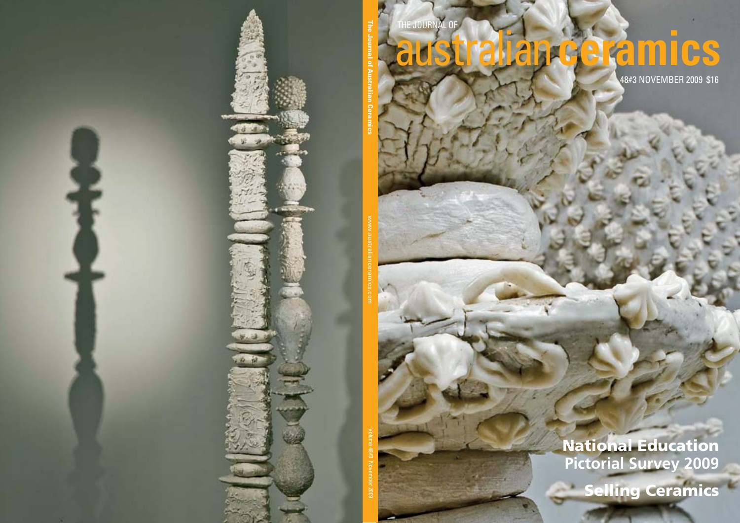

the journal of

**The Journal of Australian Ceramics**

www.australianceramics.com

Volume 48#3 November 2009

## australian**ceramics**

48#3 NOVEMBER 2009 \$16

## National Education **Pictorial Survey 2009**

**Selling Ceramics**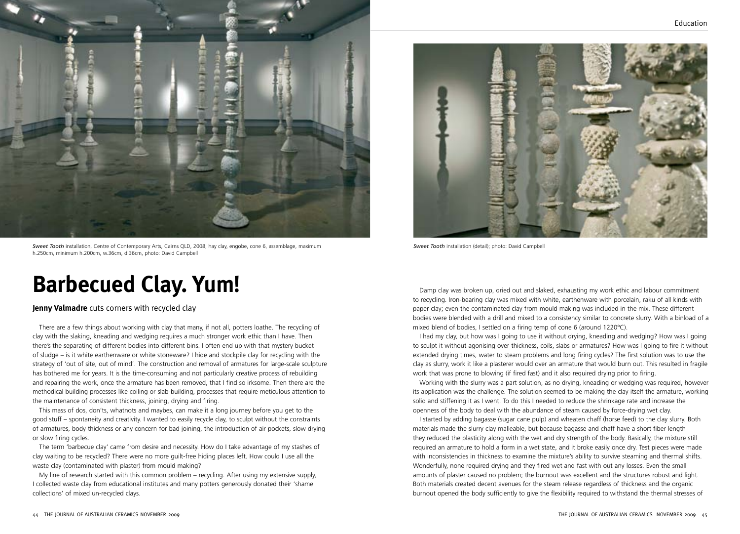

*Sweet Tooth* installation, Centre of Contemporary Arts, Cairns QLD, 2008, hay clay, engobe, cone 6, assemblage, maximum h.250cm, minimum h.200cm, w.36cm, d.36cm, photo: David Campbell

## **Barbecued Clay. Yum!**

## **Jenny Valmadre** cuts corners with recycled clay

There are a few things about working with clay that many, if not all, potters loathe. The recycling of clay with the slaking, kneading and wedging requires a much stronger work ethic than I have. Then there's the separating of different bodies into different bins. I often end up with that mystery bucket of sludge – is it white earthenware or white stoneware? I hide and stockpile clay for recycling with the strategy of 'out of site, out of mind'. The construction and removal of armatures for large-scale sculpture has bothered me for years. It is the time-consuming and not particularly creative process of rebuilding and repairing the work, once the armature has been removed, that I find so irksome. Then there are the methodical building processes like coiling or slab-building, processes that require meticulous attention to the maintenance of consistent thickness, joining, drying and firing.

This mass of dos, don'ts, whatnots and maybes, can make it a long journey before you get to the good stuff – spontaneity and creativity. I wanted to easily recycle clay, to sculpt without the constraints of armatures, body thickness or any concern for bad joining, the introduction of air pockets, slow drying or slow firing cycles.

The term 'barbecue clay' came from desire and necessity. How do I take advantage of my stashes of clay waiting to be recycled? There were no more guilt-free hiding places left. How could I use all the waste clay (contaminated with plaster) from mould making?

My line of research started with this common problem – recycling. After using my extensive supply, I collected waste clay from educational institutes and many potters generously donated their 'shame collections' of mixed un-recycled clays.



*Sweet Tooth* installation (detail); photo: David Campbell

Damp clay was broken up, dried out and slaked, exhausting my work ethic and labour commitment to recycling. Iron-bearing clay was mixed with white, earthenware with porcelain, raku of all kinds with paper clay; even the contaminated clay from mould making was included in the mix. These different bodies were blended with a drill and mixed to a consistency similar to concrete slurry. With a binload of a mixed blend of bodies, I settled on a firing temp of cone 6 (around 1220ºC).

I had my clay, but how was I going to use it without drying, kneading and wedging? How was I going to sculpt it without agonising over thickness, coils, slabs or armatures? How was I going to fire it without extended drying times, water to steam problems and long firing cycles? The first solution was to use the clay as slurry, work it like a plasterer would over an armature that would burn out. This resulted in fragile work that was prone to blowing (if fired fast) and it also required drying prior to firing.

Working with the slurry was a part solution, as no drying, kneading or wedging was required, however its application was the challenge. The solution seemed to be making the clay itself the armature, working solid and stiffening it as I went. To do this I needed to reduce the shrinkage rate and increase the openness of the body to deal with the abundance of steam caused by force-drying wet clay.

I started by adding bagasse (sugar cane pulp) and wheaten chaff (horse feed) to the clay slurry. Both materials made the slurry clay malleable, but because bagasse and chaff have a short fiber length they reduced the plasticity along with the wet and dry strength of the body. Basically, the mixture still required an armature to hold a form in a wet state, and it broke easily once dry. Test pieces were made with inconsistencies in thickness to examine the mixture's ability to survive steaming and thermal shifts. Wonderfully, none required drying and they fired wet and fast with out any losses. Even the small amounts of plaster caused no problem; the burnout was excellent and the structures robust and light. Both materials created decent avenues for the steam release regardless of thickness and the organic burnout opened the body sufficiently to give the flexibility required to withstand the thermal stresses of